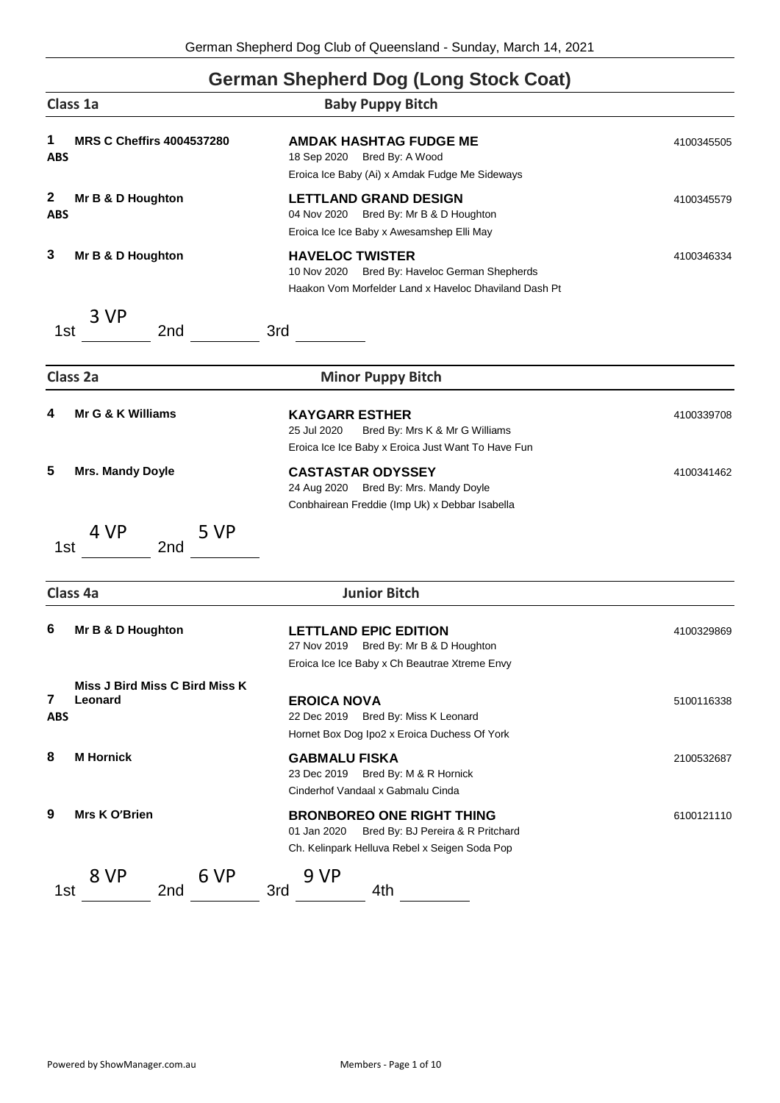## **German Shepherd Dog (Long Stock Coat)**

| Class 1a                                                            | <b>Baby Puppy Bitch</b>                                                                                                               |            |
|---------------------------------------------------------------------|---------------------------------------------------------------------------------------------------------------------------------------|------------|
| <b>MRS C Cheffirs 4004537280</b><br>1<br><b>ABS</b>                 | <b>AMDAK HASHTAG FUDGE ME</b><br>18 Sep 2020 Bred By: A Wood<br>Eroica Ice Baby (Ai) x Amdak Fudge Me Sideways                        | 4100345505 |
| $\mathbf{2}$<br>Mr B & D Houghton<br><b>ABS</b>                     | <b>LETTLAND GRAND DESIGN</b><br>04 Nov 2020 Bred By: Mr B & D Houghton<br>Eroica Ice Ice Baby x Awesamshep Elli May                   | 4100345579 |
| 3<br>Mr B & D Houghton                                              | <b>HAVELOC TWISTER</b><br>Bred By: Haveloc German Shepherds<br>10 Nov 2020<br>Haakon Vom Morfelder Land x Haveloc Dhaviland Dash Pt   | 4100346334 |
| 3 VP<br>2nd<br>1st                                                  | 3rd                                                                                                                                   |            |
| Class 2a                                                            | <b>Minor Puppy Bitch</b>                                                                                                              |            |
| Mr G & K Williams<br>4                                              | <b>KAYGARR ESTHER</b><br>25 Jul 2020<br>Bred By: Mrs K & Mr G Williams<br>Eroica Ice Ice Baby x Eroica Just Want To Have Fun          | 4100339708 |
| 5<br><b>Mrs. Mandy Doyle</b>                                        | <b>CASTASTAR ODYSSEY</b><br>24 Aug 2020 Bred By: Mrs. Mandy Doyle<br>Conbhairean Freddie (Imp Uk) x Debbar Isabella                   | 4100341462 |
| 4 VP<br>5 VP<br>1st<br>2 <sub>nd</sub>                              |                                                                                                                                       |            |
| Class 4a                                                            | <b>Junior Bitch</b>                                                                                                                   |            |
| 6<br>Mr B & D Houghton                                              | <b>LETTLAND EPIC EDITION</b><br>27 Nov 2019<br>Bred By: Mr B & D Houghton<br>Eroica Ice Ice Baby x Ch Beautrae Xtreme Envy            | 4100329869 |
| <b>Miss J Bird Miss C Bird Miss K</b><br>7<br>Leonard<br><b>ABS</b> | <b>EROICA NOVA</b><br>22 Dec 2019 Bred By: Miss K Leonard<br>Hornet Box Dog Ipo2 x Eroica Duchess Of York                             | 5100116338 |
| <b>M</b> Hornick<br>8                                               | <b>GABMALU FISKA</b><br>23 Dec 2019<br>Bred By: M & R Hornick<br>Cinderhof Vandaal x Gabmalu Cinda                                    | 2100532687 |
| 9<br>Mrs K O'Brien                                                  | <b>BRONBOREO ONE RIGHT THING</b><br>01 Jan 2020<br>Bred By: BJ Pereira & R Pritchard<br>Ch. Kelinpark Helluva Rebel x Seigen Soda Pop | 6100121110 |
| 8 VP<br>6 VP<br>1st<br>2nd                                          | 9 VP<br>3rd<br>4th                                                                                                                    |            |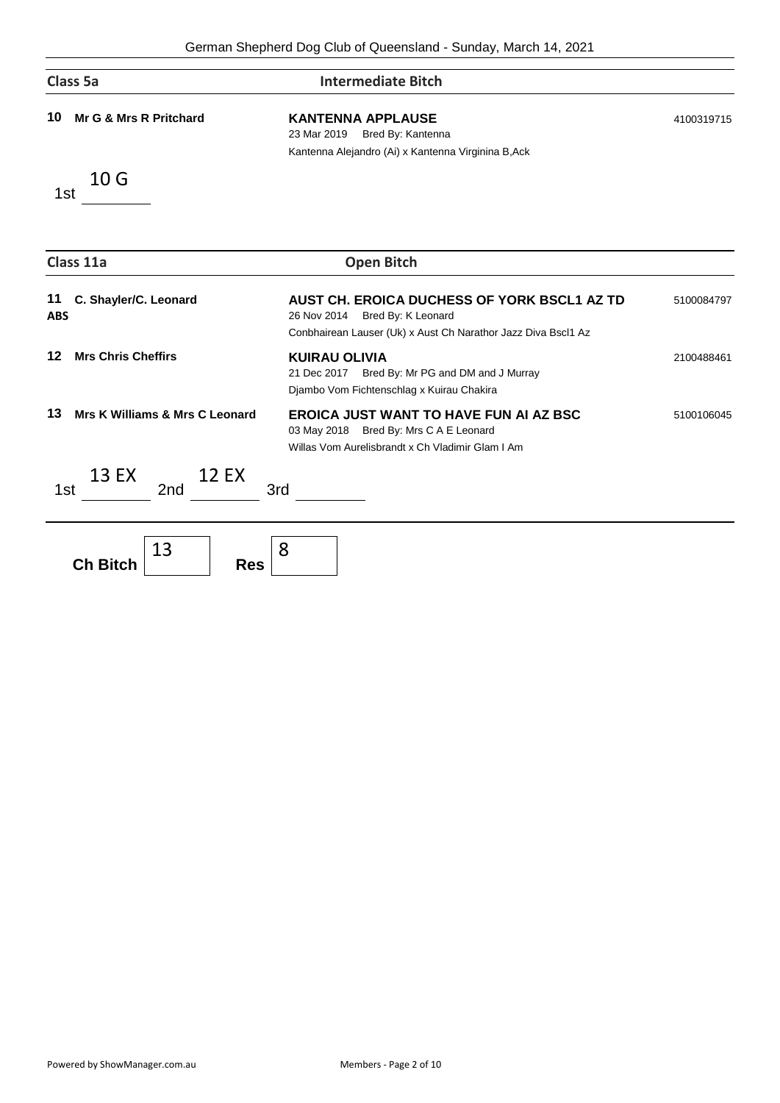| Class 5a                                  | <b>Intermediate Bitch</b>                                                                                                                         |            |
|-------------------------------------------|---------------------------------------------------------------------------------------------------------------------------------------------------|------------|
| Mr G & Mrs R Pritchard<br>10              | <b>KANTENNA APPLAUSE</b><br>Bred By: Kantenna<br>23 Mar 2019<br>Kantenna Alejandro (Ai) x Kantenna Virginina B, Ack                               | 4100319715 |
| 10 <sub>G</sub><br>1st                    |                                                                                                                                                   |            |
| Class 11a                                 | <b>Open Bitch</b>                                                                                                                                 |            |
| C. Shayler/C. Leonard<br>11<br><b>ABS</b> | AUST CH. EROICA DUCHESS OF YORK BSCL1 AZ TD<br>26 Nov 2014<br>Bred By: K Leonard<br>Conbhairean Lauser (Uk) x Aust Ch Narathor Jazz Diva Bscl1 Az | 5100084797 |
| <b>Mrs Chris Cheffirs</b><br>12           | <b>KUIRAU OLIVIA</b><br>21 Dec 2017 Bred By: Mr PG and DM and J Murray<br>Djambo Vom Fichtenschlag x Kuirau Chakira                               | 2100488461 |
| Mrs K Williams & Mrs C Leonard<br>13      | <b>EROICA JUST WANT TO HAVE FUN AI AZ BSC</b><br>03 May 2018 Bred By: Mrs C A E Leonard<br>Willas Vom Aurelisbrandt x Ch Vladimir Glam I Am       | 5100106045 |
| 13 EX<br><b>12 EX</b><br>2nd<br>1st       | 3rd                                                                                                                                               |            |
| 13<br>.                                   | 8                                                                                                                                                 |            |

**Ch Bitch**

**Res**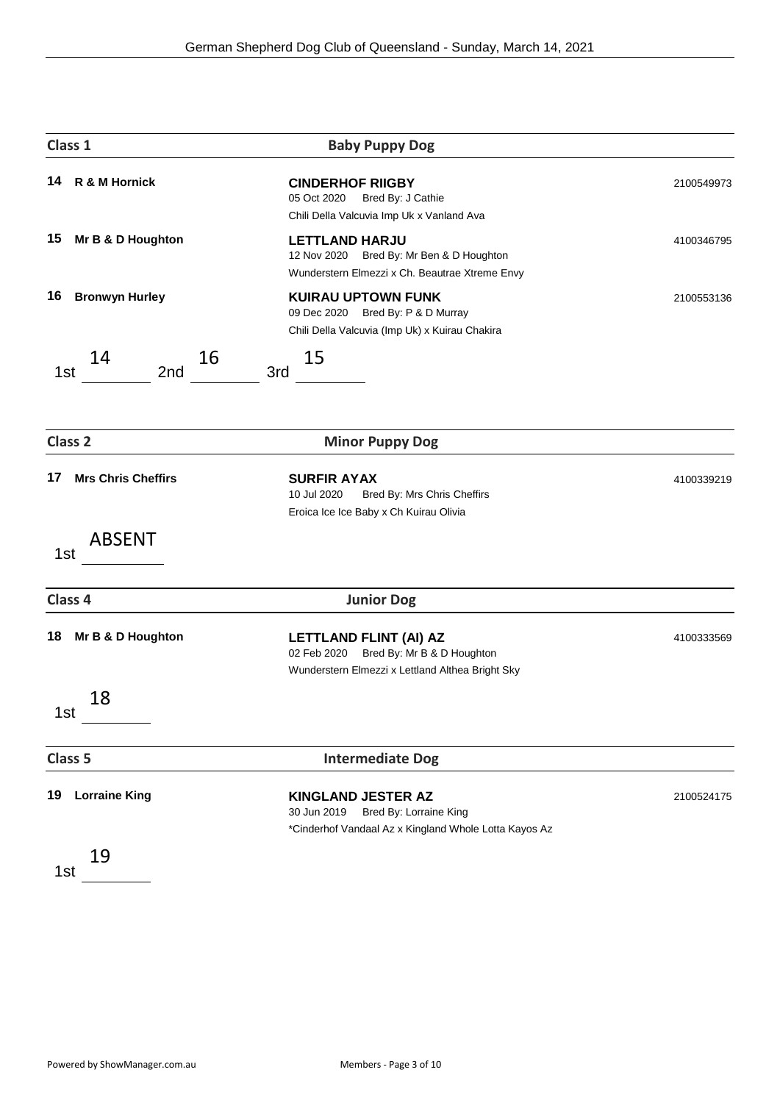| Class 1                         | <b>Baby Puppy Dog</b>                                                                                                   |            |
|---------------------------------|-------------------------------------------------------------------------------------------------------------------------|------------|
| R & M Hornick<br>14             | <b>CINDERHOF RIIGBY</b><br>05 Oct 2020<br>Bred By: J Cathie<br>Chili Della Valcuvia Imp Uk x Vanland Ava                | 2100549973 |
| Mr B & D Houghton<br>15         | <b>LETTLAND HARJU</b><br>12 Nov 2020 Bred By: Mr Ben & D Houghton<br>Wunderstern Elmezzi x Ch. Beautrae Xtreme Envy     | 4100346795 |
| <b>Bronwyn Hurley</b><br>16     | <b>KUIRAU UPTOWN FUNK</b><br>09 Dec 2020 Bred By: P & D Murray<br>Chili Della Valcuvia (Imp Uk) x Kuirau Chakira        | 2100553136 |
| 14<br>16<br>2nd<br>1st          | 15<br>3rd                                                                                                               |            |
| Class <sub>2</sub>              | <b>Minor Puppy Dog</b>                                                                                                  |            |
| 17<br><b>Mrs Chris Cheffirs</b> | <b>SURFIR AYAX</b><br>10 Jul 2020<br>Bred By: Mrs Chris Cheffirs<br>Eroica Ice Ice Baby x Ch Kuirau Olivia              | 4100339219 |
| <b>ABSENT</b><br>1st            |                                                                                                                         |            |
| Class 4                         | <b>Junior Dog</b>                                                                                                       |            |
| 18<br>Mr B & D Houghton         | LETTLAND FLINT (AI) AZ<br>Bred By: Mr B & D Houghton<br>02 Feb 2020<br>Wunderstern Elmezzi x Lettland Althea Bright Sky | 4100333569 |
| 18<br>1st                       |                                                                                                                         |            |
| Class 5                         | <b>Intermediate Dog</b>                                                                                                 |            |
| <b>Lorraine King</b><br>19      | KINGLAND JESTER AZ<br>Bred By: Lorraine King<br>30 Jun 2019<br>*Cinderhof Vandaal Az x Kingland Whole Lotta Kayos Az    | 2100524175 |
| 19<br>1st                       |                                                                                                                         |            |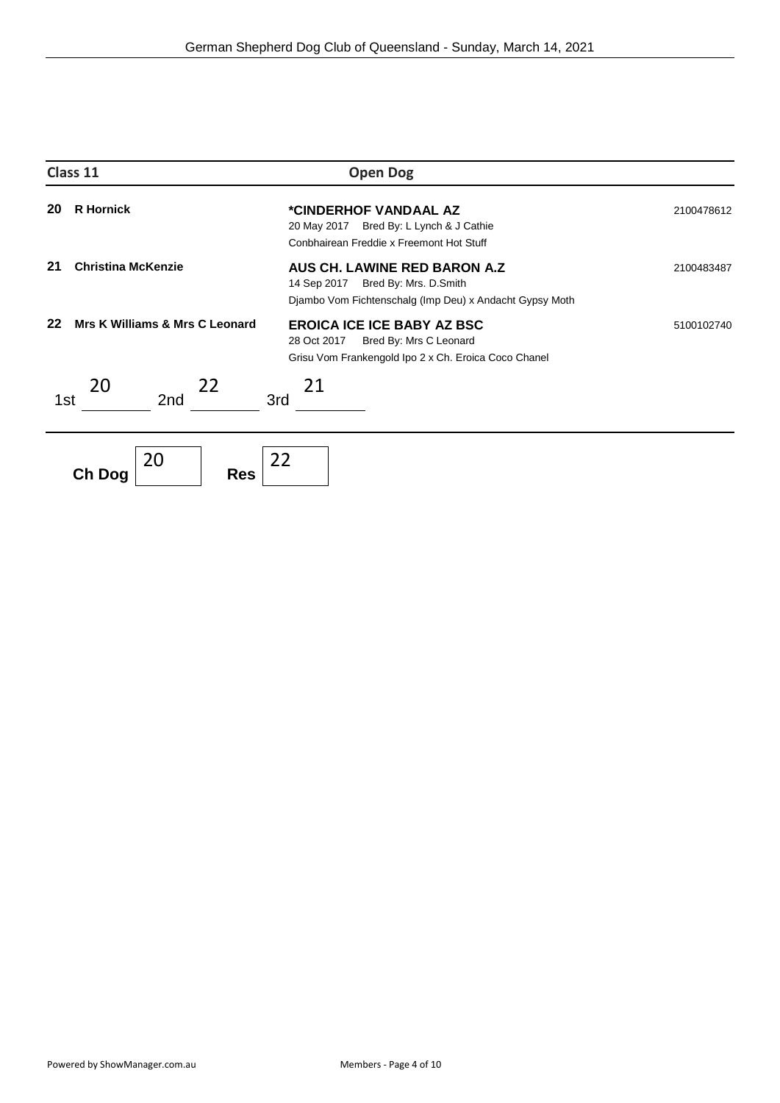| Class 11 |                                | <b>Open Dog</b>                                                                                                                    |            |
|----------|--------------------------------|------------------------------------------------------------------------------------------------------------------------------------|------------|
| 20       | <b>R</b> Hornick               | *CINDERHOF VANDAAL AZ<br>20 May 2017<br>Bred By: L Lynch & J Cathie<br>Conbhairean Freddie x Freemont Hot Stuff                    | 2100478612 |
| 21       | <b>Christina McKenzie</b>      | AUS CH. LAWINE RED BARON A.Z<br>14 Sep 2017 Bred By: Mrs. D. Smith<br>Djambo Vom Fichtenschalg (Imp Deu) x Andacht Gypsy Moth      | 2100483487 |
| 22       | Mrs K Williams & Mrs C Leonard | <b>EROICA ICE ICE BABY AZ BSC</b><br>28 Oct 2017<br>Bred By: Mrs C Leonard<br>Grisu Vom Frankengold Ipo 2 x Ch. Eroica Coco Chanel | 5100102740 |
| 1st      | 20<br>22<br>2nd                | 21<br>3rd                                                                                                                          |            |
|          | 20<br><b>Res</b><br>Ch Dog     | 22                                                                                                                                 |            |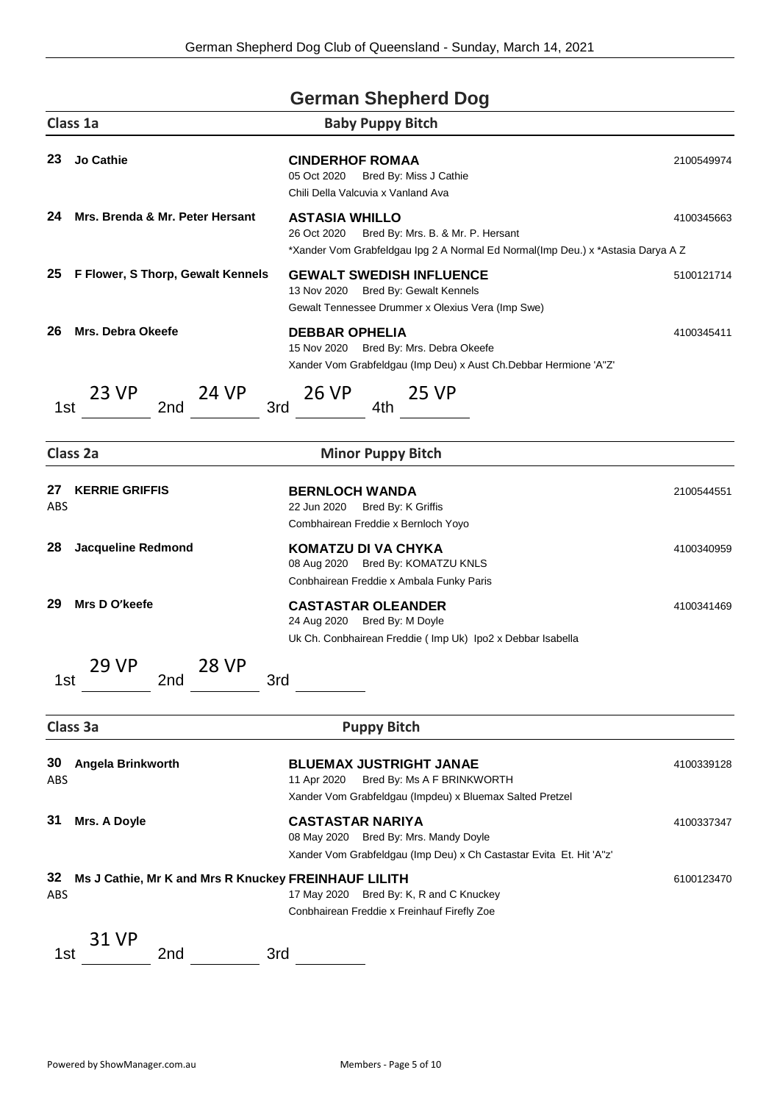|                  |                                                      | <b>German Shepherd Dog</b>                                                                                                                                     |            |
|------------------|------------------------------------------------------|----------------------------------------------------------------------------------------------------------------------------------------------------------------|------------|
|                  | Class 1a                                             | <b>Baby Puppy Bitch</b>                                                                                                                                        |            |
| 23               | <b>Jo Cathie</b>                                     | <b>CINDERHOF ROMAA</b><br>05 Oct 2020<br>Bred By: Miss J Cathie<br>Chili Della Valcuvia x Vanland Ava                                                          | 2100549974 |
| 24               | Mrs. Brenda & Mr. Peter Hersant                      | <b>ASTASIA WHILLO</b><br>26 Oct 2020<br>Bred By: Mrs. B. & Mr. P. Hersant<br>*Xander Vom Grabfeldgau Ipg 2 A Normal Ed Normal(Imp Deu.) x *Astasia Darya A Z   | 4100345663 |
| 25               | F Flower, S Thorp, Gewalt Kennels                    | <b>GEWALT SWEDISH INFLUENCE</b><br>Bred By: Gewalt Kennels<br>13 Nov 2020<br>Gewalt Tennessee Drummer x Olexius Vera (Imp Swe)                                 | 5100121714 |
| 26               | <b>Mrs. Debra Okeefe</b>                             | <b>DEBBAR OPHELIA</b><br>15 Nov 2020 Bred By: Mrs. Debra Okeefe<br>Xander Vom Grabfeldgau (Imp Deu) x Aust Ch.Debbar Hermione 'A"Z'                            | 4100345411 |
| 1st              | 23 VP<br>24 VP<br>2nd                                | 26 VP<br>25 VP<br>3rd<br>4th                                                                                                                                   |            |
|                  | Class 2a                                             | <b>Minor Puppy Bitch</b>                                                                                                                                       |            |
| 27<br>ABS        | <b>KERRIE GRIFFIS</b>                                | <b>BERNLOCH WANDA</b><br>22 Jun 2020<br>Bred By: K Griffis<br>Combhairean Freddie x Bernloch Yoyo                                                              | 2100544551 |
| 28               | <b>Jacqueline Redmond</b>                            | KOMATZU DI VA CHYKA<br>08 Aug 2020 Bred By: KOMATZU KNLS<br>Conbhairean Freddie x Ambala Funky Paris                                                           | 4100340959 |
| 29               | Mrs D O'keefe                                        | <b>CASTASTAR OLEANDER</b><br>24 Aug 2020 Bred By: M Doyle<br>Uk Ch. Conbhairean Freddie (Imp Uk) Ipo2 x Debbar Isabella                                        | 4100341469 |
| 1st              | 29 VP<br>28 VP<br>2nd                                | 3rd                                                                                                                                                            |            |
|                  | Class 3a                                             | <b>Puppy Bitch</b>                                                                                                                                             |            |
| 30<br><b>ABS</b> | Angela Brinkworth                                    | <b>BLUEMAX JUSTRIGHT JANAE</b><br>11 Apr 2020<br>Bred By: Ms A F BRINKWORTH                                                                                    | 4100339128 |
| 31               | Mrs. A Doyle                                         | Xander Vom Grabfeldgau (Impdeu) x Bluemax Salted Pretzel<br><b>CASTASTAR NARIYA</b><br>08 May 2020 Bred By: Mrs. Mandy Doyle                                   | 4100337347 |
| 32<br>ABS        | Ms J Cathie, Mr K and Mrs R Knuckey FREINHAUF LILITH | Xander Vom Grabfeldgau (Imp Deu) x Ch Castastar Evita Et. Hit 'A''z'<br>17 May 2020 Bred By: K, R and C Knuckey<br>Conbhairean Freddie x Freinhauf Firefly Zoe | 6100123470 |
| 1st              | 31 VP<br>2nd                                         | 3rd                                                                                                                                                            |            |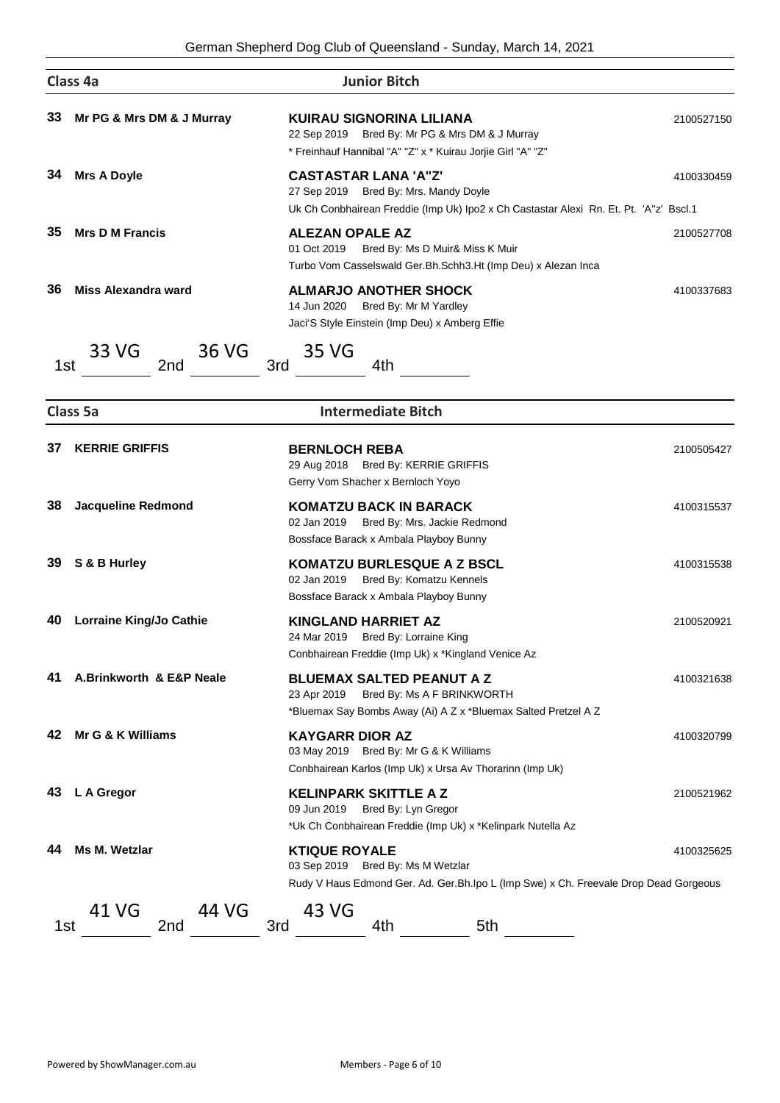|     | Class 4a                       | <b>Junior Bitch</b>                                                                                                                                           |            |
|-----|--------------------------------|---------------------------------------------------------------------------------------------------------------------------------------------------------------|------------|
| 33  | Mr PG & Mrs DM & J Murray      | KUIRAU SIGNORINA LILIANA<br>22 Sep 2019 Bred By: Mr PG & Mrs DM & J Murray<br>* Freinhauf Hannibal "A" "Z" x * Kuirau Jorjie Girl "A" "Z"                     | 2100527150 |
| 34  | <b>Mrs A Doyle</b>             | <b>CASTASTAR LANA 'A"Z'</b><br>27 Sep 2019 Bred By: Mrs. Mandy Doyle<br>Uk Ch Conbhairean Freddie (Imp Uk) Ipo2 x Ch Castastar Alexi Rn. Et. Pt. 'A"z' Bscl.1 | 4100330459 |
| 35  | <b>Mrs D M Francis</b>         | <b>ALEZAN OPALE AZ</b><br>01 Oct 2019<br>Bred By: Ms D Muir& Miss K Muir<br>Turbo Vom Casselswald Ger.Bh.Schh3.Ht (Imp Deu) x Alezan Inca                     | 2100527708 |
| 36  | <b>Miss Alexandra ward</b>     | <b>ALMARJO ANOTHER SHOCK</b><br>14 Jun 2020<br>Bred By: Mr M Yardley<br>Jaci'S Style Einstein (Imp Deu) x Amberg Effie                                        | 4100337683 |
| 1st | 33 VG<br>36 VG<br>2nd          | 35 VG<br>3rd<br>4th                                                                                                                                           |            |
|     | Class 5a                       | <b>Intermediate Bitch</b>                                                                                                                                     |            |
| 37  | <b>KERRIE GRIFFIS</b>          | <b>BERNLOCH REBA</b><br>29 Aug 2018 Bred By: KERRIE GRIFFIS<br>Gerry Vom Shacher x Bernloch Yoyo                                                              | 2100505427 |
| 38  | <b>Jacqueline Redmond</b>      | <b>KOMATZU BACK IN BARACK</b><br>02 Jan 2019<br>Bred By: Mrs. Jackie Redmond<br>Bossface Barack x Ambala Playboy Bunny                                        | 4100315537 |
| 39  | S & B Hurley                   | <b>KOMATZU BURLESQUE A Z BSCL</b><br>02 Jan 2019<br>Bred By: Komatzu Kennels<br>Bossface Barack x Ambala Playboy Bunny                                        | 4100315538 |
| 40  | <b>Lorraine King/Jo Cathie</b> | <b>KINGLAND HARRIET AZ</b><br>24 Mar 2019<br>Bred By: Lorraine King<br>Conbhairean Freddie (Imp Uk) x *Kingland Venice Az                                     | 2100520921 |
| 41  | A.Brinkworth & E&P Neale       | <b>BLUEMAX SALTED PEANUT A Z</b><br>23 Apr 2019 Bred By: Ms A F BRINKWORTH<br>*Bluemax Say Bombs Away (Ai) A Z x *Bluemax Salted Pretzel A Z                  | 4100321638 |
| 42  | Mr G & K Williams              | <b>KAYGARR DIOR AZ</b><br>03 May 2019 Bred By: Mr G & K Williams<br>Conbhairean Karlos (Imp Uk) x Ursa Av Thorarinn (Imp Uk)                                  | 4100320799 |
| 43  | L A Gregor                     | <b>KELINPARK SKITTLE A Z</b><br>Bred By: Lyn Gregor<br>09 Jun 2019<br>*Uk Ch Conbhairean Freddie (Imp Uk) x *Kelinpark Nutella Az                             | 2100521962 |
| 44  | Ms M. Wetzlar                  | <b>KTIQUE ROYALE</b><br>03 Sep 2019 Bred By: Ms M Wetzlar<br>Rudy V Haus Edmond Ger. Ad. Ger. Bh. Ipo L (Imp Swe) x Ch. Freevale Drop Dead Gorgeous           | 4100325625 |
| 1st | 41 VG<br>44 VG<br>2nd          | 43 VG<br>3rd<br>4th<br>5th                                                                                                                                    |            |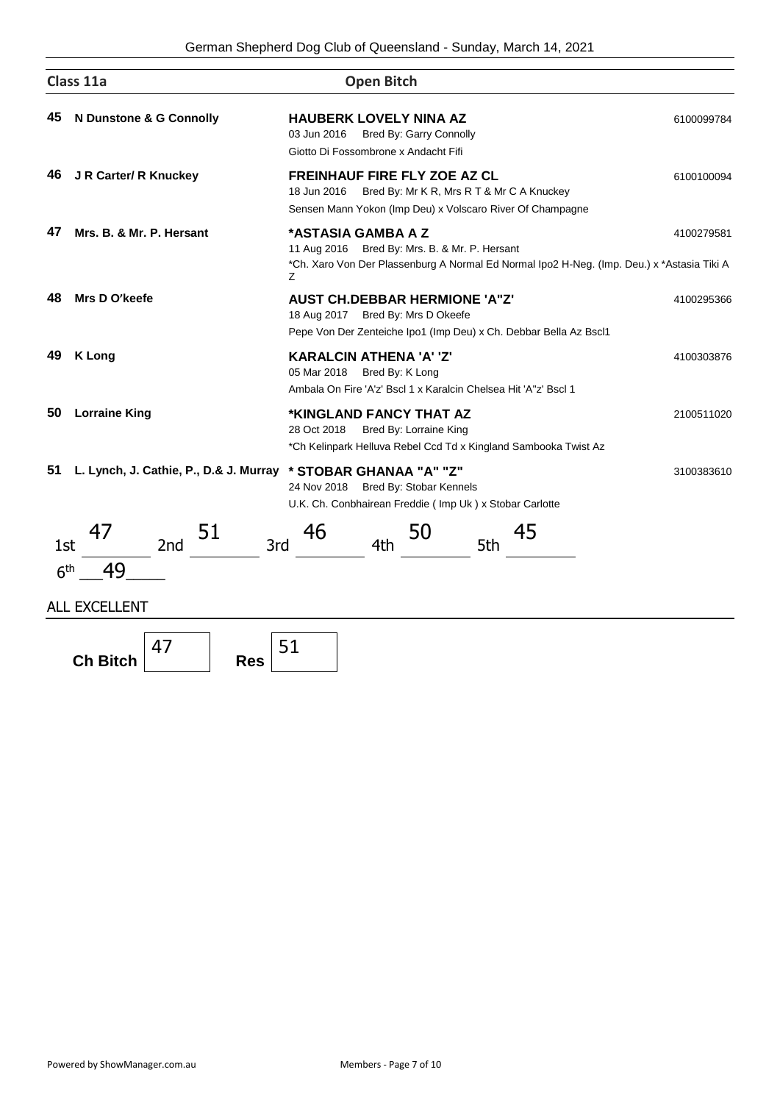German Shepherd Dog Club of Queensland - Sunday, March 14, 2021

|                        | Class 11a                                                        | <b>Open Bitch</b>                                                                                                                                                      |            |
|------------------------|------------------------------------------------------------------|------------------------------------------------------------------------------------------------------------------------------------------------------------------------|------------|
| 45                     | N Dunstone & G Connolly                                          | <b>HAUBERK LOVELY NINA AZ</b><br>03 Jun 2016<br>Bred By: Garry Connolly<br>Giotto Di Fossombrone x Andacht Fifi                                                        | 6100099784 |
| 46                     | J R Carter/ R Knuckey                                            | FREINHAUF FIRE FLY ZOE AZ CL<br>Bred By: Mr K R, Mrs R T & Mr C A Knuckey<br>18 Jun 2016<br>Sensen Mann Yokon (Imp Deu) x Volscaro River Of Champagne                  | 6100100094 |
| 47                     | Mrs. B. & Mr. P. Hersant                                         | *ASTASIA GAMBA A Z<br>11 Aug 2016 Bred By: Mrs. B. & Mr. P. Hersant<br>*Ch. Xaro Von Der Plassenburg A Normal Ed Normal Ipo2 H-Neg. (Imp. Deu.) x *Astasia Tiki A<br>Ζ | 4100279581 |
| 48                     | Mrs D O'keefe                                                    | <b>AUST CH.DEBBAR HERMIONE 'A"Z'</b><br>18 Aug 2017 Bred By: Mrs D Okeefe<br>Pepe Von Der Zenteiche Ipo1 (Imp Deu) x Ch. Debbar Bella Az Bscl1                         | 4100295366 |
| 49                     | <b>K Long</b>                                                    | <b>KARALCIN ATHENA 'A' 'Z'</b><br>05 Mar 2018 Bred By: K Long<br>Ambala On Fire 'A'z' Bscl 1 x Karalcin Chelsea Hit 'A"z' Bscl 1                                       | 4100303876 |
| 50                     | <b>Lorraine King</b>                                             | *KINGLAND FANCY THAT AZ<br>28 Oct 2018<br>Bred By: Lorraine King<br>*Ch Kelinpark Helluva Rebel Ccd Td x Kingland Sambooka Twist Az                                    | 2100511020 |
| 51                     | L. Lynch, J. Cathie, P., D.& J. Murray                           | * STOBAR GHANAA "A" "Z"<br>24 Nov 2018 Bred By: Stobar Kennels<br>U.K. Ch. Conbhairean Freddie (Imp Uk) x Stobar Carlotte                                              | 3100383610 |
| 1st<br>6 <sup>th</sup> | 47<br>51<br>3rd<br>2 <sub>nd</sub><br>49<br><b>ALL EXCELLENT</b> | 46<br>45<br>50<br>4th<br>5th                                                                                                                                           |            |
|                        | 47<br><b>Ch Bitch</b><br><b>Res</b>                              | 51                                                                                                                                                                     |            |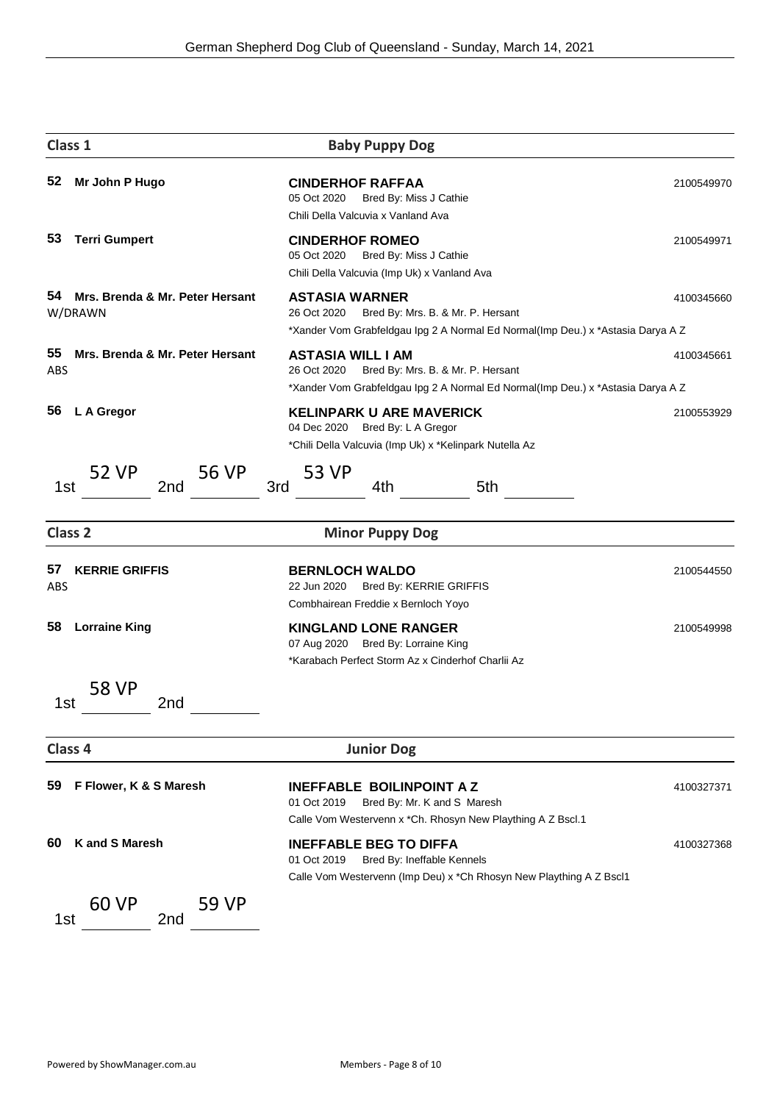| Class 1            |                                            | <b>Baby Puppy Dog</b>                                                                                                                                           |            |
|--------------------|--------------------------------------------|-----------------------------------------------------------------------------------------------------------------------------------------------------------------|------------|
| 52                 | Mr John P Hugo                             | <b>CINDERHOF RAFFAA</b><br>05 Oct 2020<br>Bred By: Miss J Cathie<br>Chili Della Valcuvia x Vanland Ava                                                          | 2100549970 |
| 53                 | <b>Terri Gumpert</b>                       | <b>CINDERHOF ROMEO</b><br>05 Oct 2020<br>Bred By: Miss J Cathie<br>Chili Della Valcuvia (Imp Uk) x Vanland Ava                                                  | 2100549971 |
| 54                 | Mrs. Brenda & Mr. Peter Hersant<br>W/DRAWN | <b>ASTASIA WARNER</b><br>26 Oct 2020<br>Bred By: Mrs. B. & Mr. P. Hersant<br>*Xander Vom Grabfeldgau Ipg 2 A Normal Ed Normal(Imp Deu.) x *Astasia Darya A Z    | 4100345660 |
| 55<br>ABS          | Mrs. Brenda & Mr. Peter Hersant            | <b>ASTASIA WILL I AM</b><br>26 Oct 2020<br>Bred By: Mrs. B. & Mr. P. Hersant<br>*Xander Vom Grabfeldgau Ipg 2 A Normal Ed Normal(Imp Deu.) x *Astasia Darya A Z | 4100345661 |
| 56                 | L A Gregor                                 | <b>KELINPARK U ARE MAVERICK</b><br>04 Dec 2020 Bred By: L A Gregor<br>*Chili Della Valcuvia (Imp Uk) x *Kelinpark Nutella Az                                    | 2100553929 |
| 1st                | 52 VP<br>56 VP<br>2nd                      | 53 VP<br>3rd<br>4th<br>5th                                                                                                                                      |            |
| Class <sub>2</sub> |                                            | <b>Minor Puppy Dog</b>                                                                                                                                          |            |
| 57<br>ABS          | <b>KERRIE GRIFFIS</b>                      | <b>BERNLOCH WALDO</b><br>22 Jun 2020<br>Bred By: KERRIE GRIFFIS<br>Combhairean Freddie x Bernloch Yoyo                                                          | 2100544550 |
| 58                 | <b>Lorraine King</b>                       | <b>KINGLAND LONE RANGER</b><br>07 Aug 2020 Bred By: Lorraine King<br>*Karabach Perfect Storm Az x Cinderhof Charlii Az                                          | 2100549998 |
| 1st                | 58 VP<br>2nd                               |                                                                                                                                                                 |            |
| Class 4            |                                            | <b>Junior Dog</b>                                                                                                                                               |            |
| 59                 | F Flower, K & S Maresh                     | <b>INEFFABLE BOILINPOINT A Z</b><br>Bred By: Mr. K and S Maresh<br>01 Oct 2019<br>Calle Vom Westervenn x *Ch. Rhosyn New Plaything A Z Bscl.1                   | 4100327371 |
| 60                 | <b>K</b> and S Maresh                      | <b>INEFFABLE BEG TO DIFFA</b><br>01 Oct 2019<br>Bred By: Ineffable Kennels<br>Calle Vom Westervenn (Imp Deu) x *Ch Rhosyn New Plaything A Z Bscl1               | 4100327368 |
| 1st                | 60 VP<br>59 VP<br>2nd                      |                                                                                                                                                                 |            |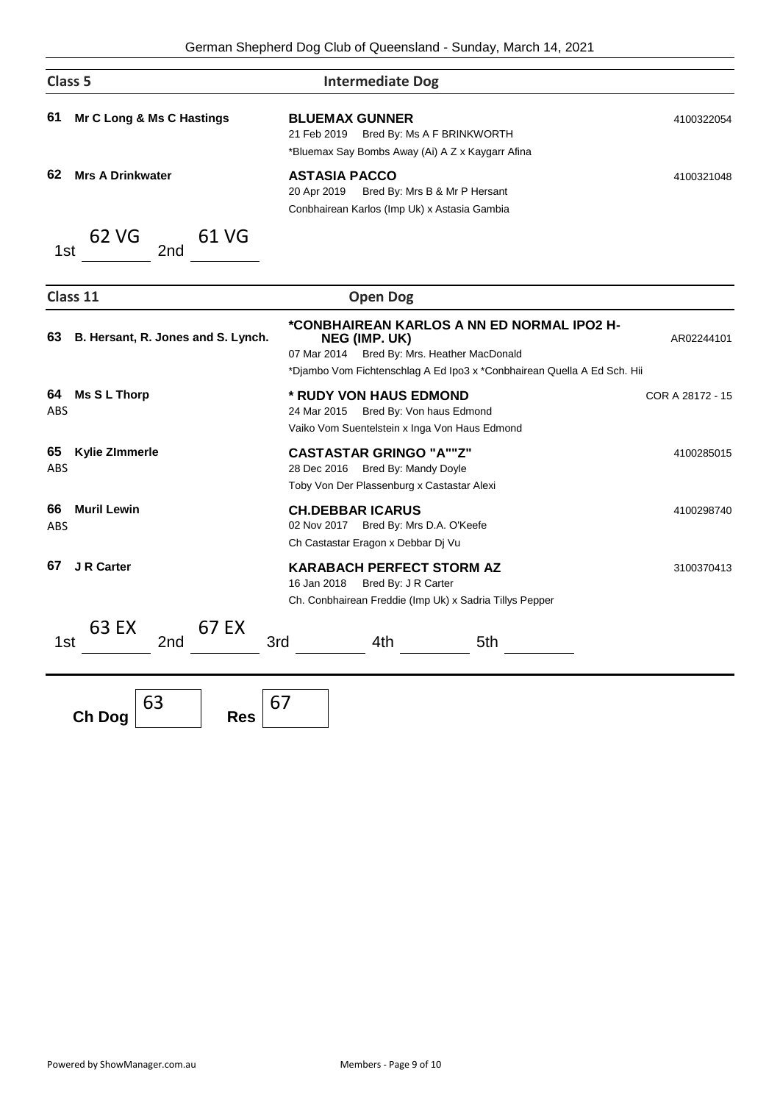|                  | Class <sub>5</sub>                 | <b>Intermediate Dog</b>                                                                                                                                                               |                  |
|------------------|------------------------------------|---------------------------------------------------------------------------------------------------------------------------------------------------------------------------------------|------------------|
| 61               | Mr C Long & Ms C Hastings          | <b>BLUEMAX GUNNER</b><br>21 Feb 2019 Bred By: Ms A F BRINKWORTH<br>*Bluemax Say Bombs Away (Ai) A Z x Kaygarr Afina                                                                   | 4100322054       |
| 62               | <b>Mrs A Drinkwater</b>            | <b>ASTASIA PACCO</b><br>20 Apr 2019<br>Bred By: Mrs B & Mr P Hersant<br>Conbhairean Karlos (Imp Uk) x Astasia Gambia                                                                  | 4100321048       |
| 1st              | 62 VG<br>61 VG<br>2nd              |                                                                                                                                                                                       |                  |
|                  | Class 11                           | <b>Open Dog</b>                                                                                                                                                                       |                  |
| 63               | B. Hersant, R. Jones and S. Lynch. | *CONBHAIREAN KARLOS A NN ED NORMAL IPO2 H-<br>NEG (IMP. UK)<br>07 Mar 2014 Bred By: Mrs. Heather MacDonald<br>*Djambo Vom Fichtenschlag A Ed Ipo3 x *Conbhairean Quella A Ed Sch. Hii | AR02244101       |
| 64<br><b>ABS</b> | <b>Ms S L Thorp</b>                | * RUDY VON HAUS EDMOND<br>24 Mar 2015<br>Bred By: Von haus Edmond<br>Vaiko Vom Suentelstein x Inga Von Haus Edmond                                                                    | COR A 28172 - 15 |
| 65<br><b>ABS</b> | <b>Kylie ZImmerle</b>              | <b>CASTASTAR GRINGO "A""Z"</b><br>28 Dec 2016 Bred By: Mandy Doyle<br>Toby Von Der Plassenburg x Castastar Alexi                                                                      | 4100285015       |
| 66<br>ABS        | <b>Muril Lewin</b>                 | <b>CH.DEBBAR ICARUS</b><br>02 Nov 2017 Bred By: Mrs D.A. O'Keefe<br>Ch Castastar Eragon x Debbar Dj Vu                                                                                | 4100298740       |
| 67               | <b>J R Carter</b>                  | <b>KARABACH PERFECT STORM AZ</b><br>16 Jan 2018<br>Bred By: J R Carter<br>Ch. Conbhairean Freddie (Imp Uk) x Sadria Tillys Pepper                                                     | 3100370413       |
| 1st              | 63 EX<br>67 EX<br>3rd<br>2nd       | 4th<br>5th                                                                                                                                                                            |                  |
|                  | 63                                 | 67                                                                                                                                                                                    |                  |

**Ch Dog**

**Res**